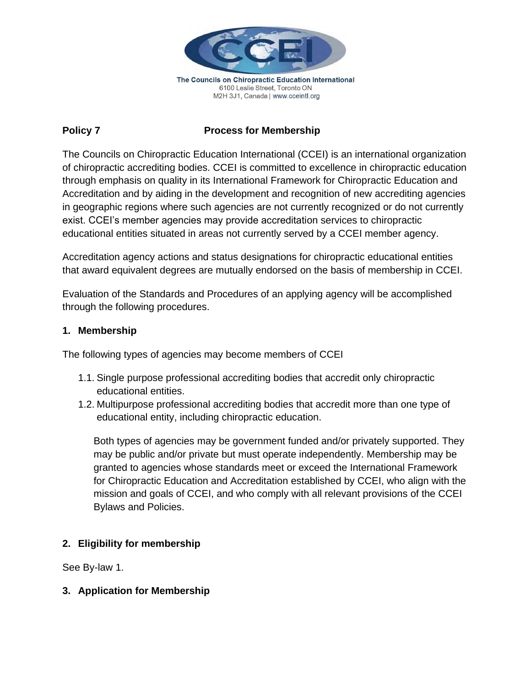

6100 Leslie Street, Toronto ON M2H 3J1, Canada | www.cceintl.org

## **Policy 7** Process for Membership

The Councils on Chiropractic Education International (CCEI) is an international organization of chiropractic accrediting bodies. CCEI is committed to excellence in chiropractic education through emphasis on quality in its International Framework for Chiropractic Education and Accreditation and by aiding in the development and recognition of new accrediting agencies in geographic regions where such agencies are not currently recognized or do not currently exist. CCEI's member agencies may provide accreditation services to chiropractic educational entities situated in areas not currently served by a CCEI member agency.

Accreditation agency actions and status designations for chiropractic educational entities that award equivalent degrees are mutually endorsed on the basis of membership in CCEI.

Evaluation of the Standards and Procedures of an applying agency will be accomplished through the following procedures.

### **1. Membership**

The following types of agencies may become members of CCEI

- 1.1. Single purpose professional accrediting bodies that accredit only chiropractic educational entities.
- 1.2. Multipurpose professional accrediting bodies that accredit more than one type of educational entity, including chiropractic education.

Both types of agencies may be government funded and/or privately supported. They may be public and/or private but must operate independently. Membership may be granted to agencies whose standards meet or exceed the International Framework for Chiropractic Education and Accreditation established by CCEI, who align with the mission and goals of CCEI, and who comply with all relevant provisions of the CCEI Bylaws and Policies.

# **2. Eligibility for membership**

See By-law 1.

### **3. Application for Membership**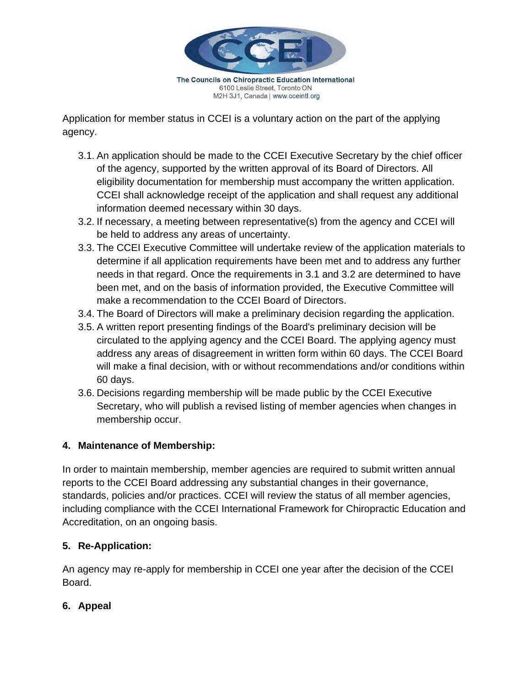

The Councils on Chiropractic Education International 6100 Leslie Street, Toronto ON M2H 3J1, Canada | www.cceintl.org

Application for member status in CCEI is a voluntary action on the part of the applying agency.

- 3.1. An application should be made to the CCEI Executive Secretary by the chief officer of the agency, supported by the written approval of its Board of Directors. All eligibility documentation for membership must accompany the written application. CCEI shall acknowledge receipt of the application and shall request any additional information deemed necessary within 30 days.
- 3.2. If necessary, a meeting between representative(s) from the agency and CCEI will be held to address any areas of uncertainty.
- 3.3. The CCEI Executive Committee will undertake review of the application materials to determine if all application requirements have been met and to address any further needs in that regard. Once the requirements in 3.1 and 3.2 are determined to have been met, and on the basis of information provided, the Executive Committee will make a recommendation to the CCEI Board of Directors.
- 3.4. The Board of Directors will make a preliminary decision regarding the application.
- 3.5. A written report presenting findings of the Board's preliminary decision will be circulated to the applying agency and the CCEI Board. The applying agency must address any areas of disagreement in written form within 60 days. The CCEI Board will make a final decision, with or without recommendations and/or conditions within 60 days.
- 3.6. Decisions regarding membership will be made public by the CCEI Executive Secretary, who will publish a revised listing of member agencies when changes in membership occur.

# **4. Maintenance of Membership:**

In order to maintain membership, member agencies are required to submit written annual reports to the CCEI Board addressing any substantial changes in their governance, standards, policies and/or practices. CCEI will review the status of all member agencies, including compliance with the CCEI International Framework for Chiropractic Education and Accreditation, on an ongoing basis.

# **5. Re-Application:**

An agency may re-apply for membership in CCEI one year after the decision of the CCEI Board.

# **6. Appeal**